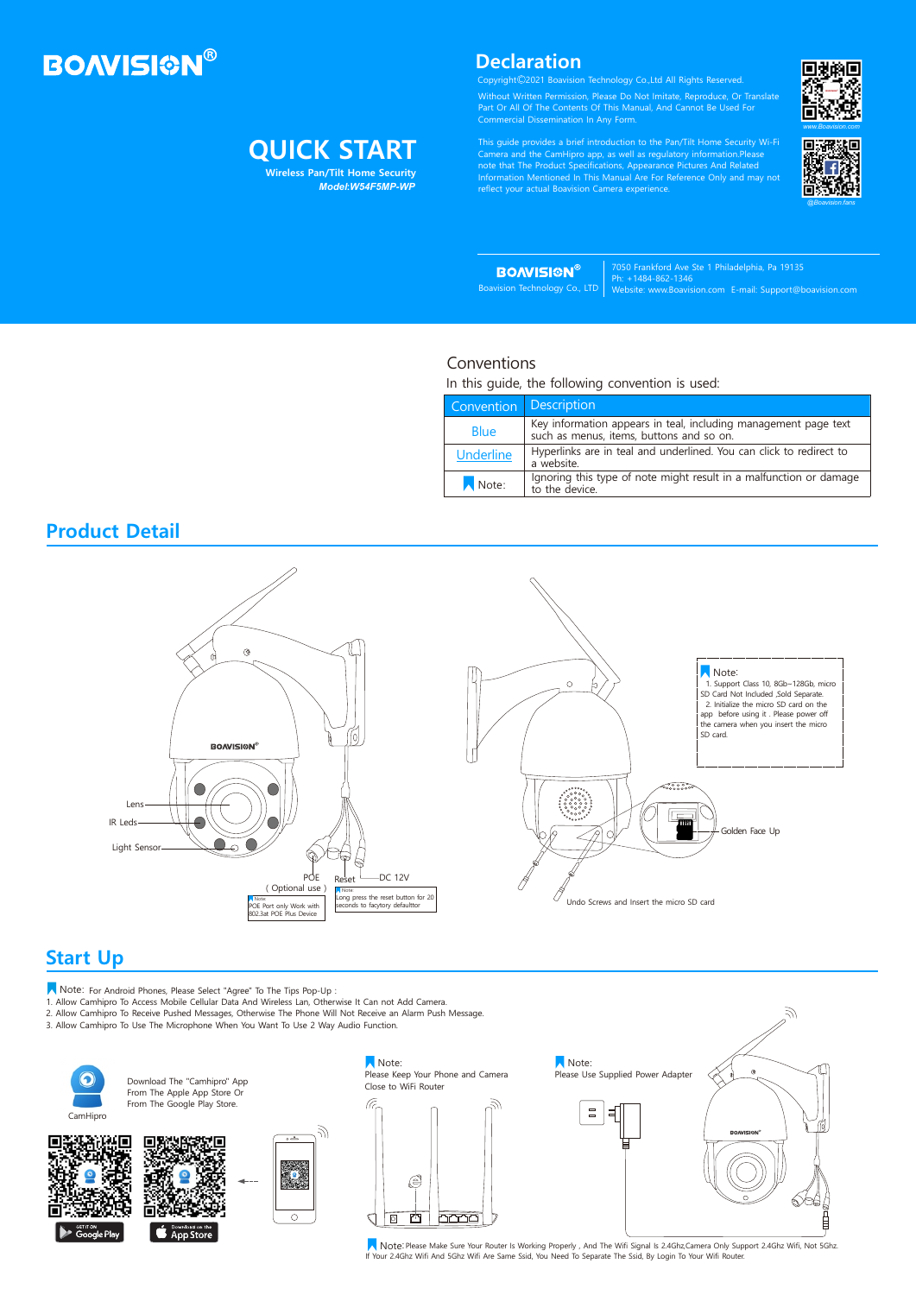# **BOAVISION®**

# **QUICK START**

Without Written Permission, Please Do Not Imitate, Reproduce, Or Translate Part Or All Of The Contents Of This Manual, And Cannot Be Used For Commercial Dissemination In Any Form.

This guide provides a brief introduction to the Pan/Tilt Home Security Wi-Fi Camera and the CamHipro app, as well as regulatory information.Please note that The Product Specifications, Appearance Pictures And Related Information Mentioned In This Manual Are For Reference Only and may not reflect your actual Boavision Camera experience.

Note: For Android Phones, Please Select "Agree" To The Tips Pop-Up: 1. Allow Camhipro To Access Mobile Cellular Data And Wireless Lan, Otherwise It Can not Add Camera.

7050 Frankford Ave Ste 1 Philadelphia, Pa 19135 Ph: +1484-862-1346 Website: www.Boavision.com E-mail: Support@boavision.com

Note: Please Make Sure Your Router Is Working Properly, And The Wifi Signal Is 2.4Ghz,Camera Only Support 2.4Ghz Wifi, Not 5Ghz. If Your 2.4Ghz Wifi And 5Ghz Wifi Are Same Ssid, You Need To Separate The Ssid, By Login To Your Wifi Router.

### **Product Detail**

## **Start Up**

Copyright 2021 Boavision Technology Co.,Ltd All Rights Reserved. C

2. Allow Camhipro To Receive Pushed Messages, Otherwise The Phone Will Not Receive an Alarm Push Message.

3. Allow Camhipro To Use The Microphone When You Want To Use 2 Way Audio Function.





**BOAVISION®** 



### Conventions

In this guide, the following convention is used:

| Convention       | <b>Description</b>                                                                                       |  |
|------------------|----------------------------------------------------------------------------------------------------------|--|
| <b>Blue</b>      | Key information appears in teal, including management page text such as menus, items, buttons and so on. |  |
| <b>Underline</b> | Hyperlinks are in teal and underlined. You can click to redirect to<br>a website.                        |  |
| Note:            | Ignoring this type of note might result in a malfunction or damage to the device.                        |  |

 **Wireless Pan/Tilt Home Security** *Model***:***W54F5MP-WP*



### **Declaration**

Boavision Technology Co., LTD